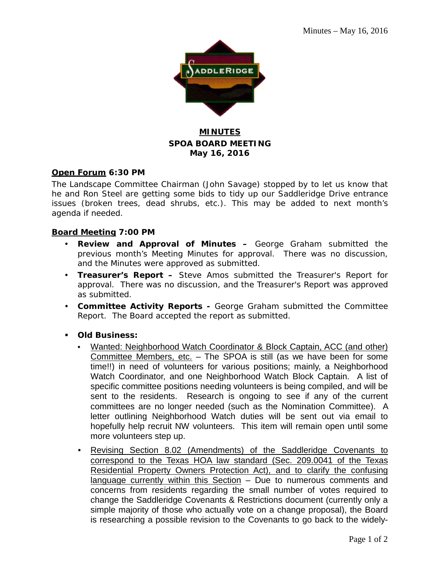

## **MINUTES SPOA BOARD MEETING May 16, 2016**

#### **Open Forum 6:30 PM**

The Landscape Committee Chairman (John Savage) stopped by to let us know that he and Ron Steel are getting some bids to tidy up our Saddleridge Drive entrance issues (broken trees, dead shrubs, etc.). This may be added to next month's agenda if needed.

#### **Board Meeting 7:00 PM**

- **Review and Approval of Minutes –** George Graham submitted the previous month's Meeting Minutes for approval. There was no discussion, and the Minutes were approved as submitted.
- **Treasurer's Report –** Steve Amos submitted the Treasurer's Report for approval. There was no discussion, and the Treasurer's Report was approved as submitted.
- **Committee Activity Reports -** George Graham submitted the Committee Report. The Board accepted the report as submitted.
- **Old Business:**
	- Wanted: Neighborhood Watch Coordinator & Block Captain, ACC (and other) Committee Members, etc. – The SPOA is still (as we have been for some time!!) in need of volunteers for various positions; mainly, a Neighborhood Watch Coordinator, and one Neighborhood Watch Block Captain. A list of specific committee positions needing volunteers is being compiled, and will be sent to the residents. Research is ongoing to see if any of the current committees are no longer needed (such as the Nomination Committee). A letter outlining Neighborhood Watch duties will be sent out via email to hopefully help recruit NW volunteers. This item will remain open until some more volunteers step up.
	- Revising Section 8.02 (Amendments) of the Saddleridge Covenants to correspond to the Texas HOA law standard (Sec. 209.0041 of the Texas Residential Property Owners Protection Act), and to clarify the confusing language currently within this Section – Due to numerous comments and concerns from residents regarding the small number of votes required to change the Saddleridge Covenants & Restrictions document (currently only a simple majority of those who actually vote on a change proposal), the Board is researching a possible revision to the Covenants to go back to the widely-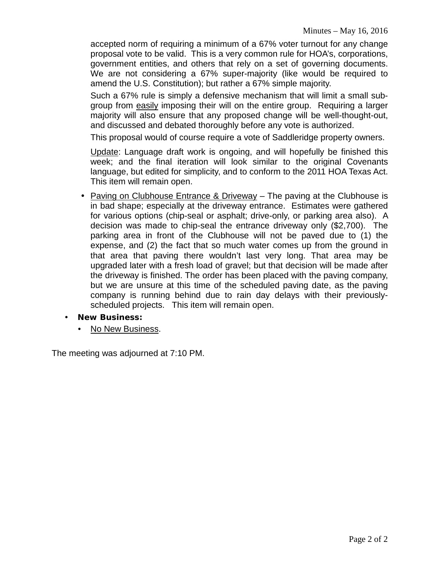accepted norm of requiring a minimum of a 67% voter turnout for any change proposal vote to be valid. This is a very common rule for HOA's, corporations, government entities, and others that rely on a set of governing documents. We are not considering a 67% super-majority (like would be required to amend the U.S. Constitution); but rather a 67% simple majority.

Such a 67% rule is simply a defensive mechanism that will limit a small subgroup from easily imposing their will on the entire group. Requiring a larger majority will also ensure that any proposed change will be well-thought-out, and discussed and debated thoroughly before any vote is authorized.

This proposal would of course require a vote of Saddleridge property owners.

Update: Language draft work is ongoing, and will hopefully be finished this week; and the final iteration will look similar to the original Covenants language, but edited for simplicity, and to conform to the 2011 HOA Texas Act. This item will remain open.

- Paving on Clubhouse Entrance & Driveway The paving at the Clubhouse is in bad shape; especially at the driveway entrance. Estimates were gathered for various options (chip-seal or asphalt; drive-only, or parking area also). A decision was made to chip-seal the entrance driveway only (\$2,700). The parking area in front of the Clubhouse will not be paved due to (1) the expense, and (2) the fact that so much water comes up from the ground in that area that paving there wouldn't last very long. That area may be upgraded later with a fresh load of gravel; but that decision will be made after the driveway is finished. The order has been placed with the paving company, but we are unsure at this time of the scheduled paving date, as the paving company is running behind due to rain day delays with their previouslyscheduled projects. This item will remain open.
- **New Business:**
	- No New Business.

The meeting was adjourned at 7:10 PM.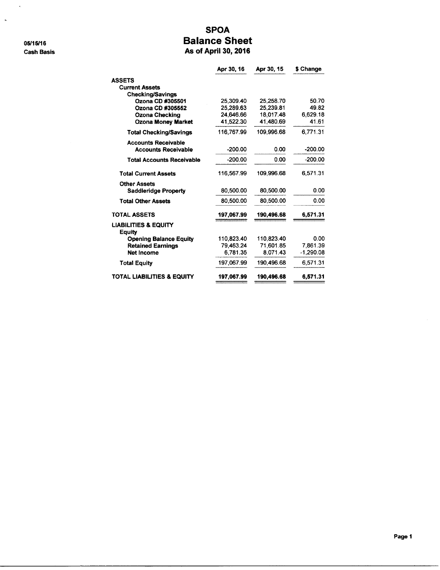05/15/16 **Cash Basis** 

 $\mathcal{L}^{\pm}$ 

 $\bar{\mathbf{r}}$ 

# **SPOA Balance Sheet**

As of April 30, 2016

|                                                  | Apr 30, 16 | Apr 30, 15 | \$ Change |
|--------------------------------------------------|------------|------------|-----------|
| <b>ASSETS</b>                                    |            |            |           |
| <b>Current Assets</b>                            |            |            |           |
| <b>Checking/Savings</b>                          |            |            |           |
| Ozona CD #305501                                 | 25.309.40  | 25.258.70  | 50.70     |
| Ozona CD #305552                                 | 25.289.63  | 25.239.81  | 49.82     |
| <b>Ozona Checking</b>                            | 24,646.66  | 18,017.48  | 6,629.18  |
| <b>Ozona Money Market</b>                        | 41.522.30  | 41.480.69  | 41.61     |
| <b>Total Checking/Savings</b>                    | 116.767.99 | 109.996.68 | 6,771.31  |
| <b>Accounts Receivable</b>                       |            |            |           |
| <b>Accounts Receivable</b>                       | $-200.00$  | 0.00       | $-200.00$ |
| <b>Total Accounts Receivable</b>                 | $-200.00$  | 0.00       | $-200.00$ |
| <b>Total Current Assets</b>                      | 116.567.99 | 109,996.68 | 6,571.31  |
| <b>Other Assets</b>                              |            |            |           |
| <b>Saddleridge Property</b>                      | 80,500.00  | 80,500.00  | 0.00      |
| <b>Total Other Assets</b>                        | 80,500.00  | 80.500.00  | 0.00      |
| <b>TOTAL ASSETS</b>                              | 197,067.99 | 190,496.68 | 6,571.31  |
| <b>LIABILITIES &amp; EQUITY</b><br><b>Equity</b> |            |            |           |
| <b>Opening Balance Equity</b>                    | 110.823.40 | 110.823.40 | 0.00      |
| <b>Retained Earnings</b>                         | 79,463.24  | 71.601.85  | 7,861.39  |
| <b>Net Income</b>                                | 6,781.35   | 8,071.43   | -1,290.08 |
| <b>Total Equity</b>                              | 197,067.99 | 190,496.68 | 6.571.31  |
| <b>TOTAL LIABILITIES &amp; EQUITY</b>            | 197,067.99 | 190,496.68 | 6,571.31  |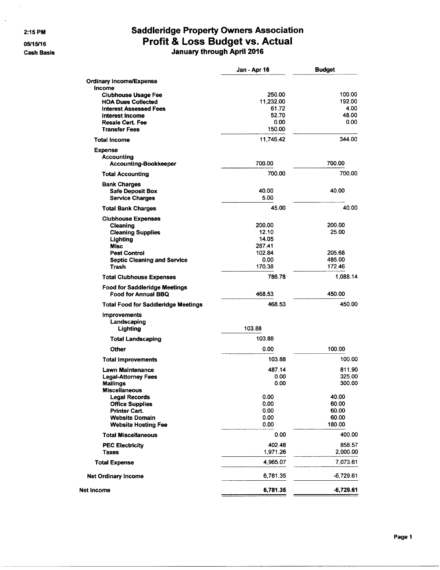2:15 PM

 $\ddot{\phantom{a}}$ 

05/15/16 **Cash Basis** 

# **Saddleridge Property Owners Association Profit & Loss Budget vs. Actual**<br>January through April 2016

|                                                             | Jan - Apr 16        | <b>Budget</b>    |
|-------------------------------------------------------------|---------------------|------------------|
| <b>Ordinary Income/Expense</b>                              |                     |                  |
| Income                                                      |                     |                  |
| <b>Clubhouse Usage Fee</b><br><b>HOA Dues Collected</b>     | 250.00<br>11,232.00 | 100.00<br>192.00 |
| <b>Interest Assessed Fees</b>                               | 61.72               | 4.00             |
| Interest Income                                             | 52.70               | 48.00            |
| <b>Resale Cert. Fee</b>                                     | 0.00                | 0.00             |
| <b>Transfer Fees</b>                                        | 150.00              |                  |
| <b>Total Income</b>                                         | 11,746.42           | 344.00           |
| <b>Expense</b>                                              |                     |                  |
| <b>Accounting</b><br><b>Accounting-Bookkeeper</b>           | 700.00              | 700.00           |
| <b>Total Accounting</b>                                     | 700.00              | 700.00           |
| <b>Bank Charges</b>                                         |                     |                  |
| <b>Safe Deposit Box</b>                                     | 40.00               | 40.00            |
| <b>Service Charges</b>                                      | 5.00                |                  |
| <b>Total Bank Charges</b>                                   | 45.00               | 40.00            |
| <b>Clubhouse Expenses</b>                                   |                     |                  |
| Cleaning                                                    | 200.00              | 200.00           |
| <b>Cleaning Supplies</b>                                    | 12.10               | 25.00            |
| Lighting                                                    | 14.05               |                  |
| <b>Misc</b>                                                 | 287.41<br>102.84    | 205.68           |
| <b>Pest Control</b><br><b>Septic Cleaning and Service</b>   | 0.00                | 485.00           |
| <b>Trash</b>                                                | 170.38              | 172.46           |
| <b>Total Clubhouse Expenses</b>                             | 786.78              | 1,088.14         |
| <b>Food for Saddleridge Meetings</b><br>Food for Annual BBQ | 468.53              | 450.00           |
| <b>Total Food for Saddleridge Meetings</b>                  | 468.53              | 450.00           |
| <b>Improvements</b>                                         |                     |                  |
| Landscaping                                                 |                     |                  |
| Lighting                                                    | 103.88              |                  |
| <b>Total Landscaping</b>                                    | 103.88              |                  |
| Other                                                       | 0.00                | 100.00           |
| <b>Total Improvements</b>                                   | 103.88              | 100.00           |
| <b>Lawn Maintenance</b>                                     | 487.14              | 811.90           |
| <b>Legal-Attorney Fees</b>                                  | 0.00                | 325.00           |
| <b>Mailings</b>                                             | 0.00                | 300.00           |
| <b>Miscellaneous</b>                                        |                     |                  |
| <b>Legal Records</b><br><b>Office Supplies</b>              | 0.00<br>0.00        | 40.00<br>60.00   |
| <b>Printer Cart.</b>                                        | 0.00                | 60.00            |
| <b>Website Domain</b>                                       | 0.00                | 60.00            |
| <b>Website Hosting Fee</b>                                  | 0.00                | 180.00           |
| <b>Total Miscellaneous</b>                                  | 0.00                | 400.00           |
| <b>PEC Electricity</b>                                      | 402.48              | 858.57           |
| <b>Taxes</b>                                                | 1,971.26            | 2,000.00         |
| <b>Total Expense</b>                                        | 4,965.07            | 7,073.61         |
| <b>Net Ordinary Income</b>                                  | 6,781.35            | $-6,729.61$      |
| Net Income                                                  | 6,781.35            | $-6,729.61$      |